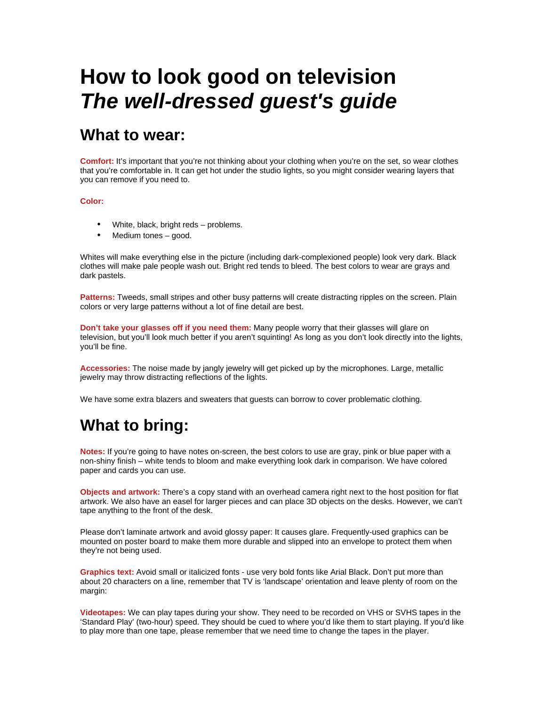# **How to look good on television** *The well-dressed guest's guide*

### **What to wear:**

**Comfort:** It's important that you're not thinking about your clothing when you're on the set, so wear clothes that you're comfortable in. It can get hot under the studio lights, so you might consider wearing layers that you can remove if you need to.

#### **Color:**

- White, black, bright reds problems.
- Medium tones good.

Whites will make everything else in the picture (including dark-complexioned people) look very dark. Black clothes will make pale people wash out. Bright red tends to bleed. The best colors to wear are grays and dark pastels.

**Patterns:** Tweeds, small stripes and other busy patterns will create distracting ripples on the screen. Plain colors or very large patterns without a lot of fine detail are best.

**Don't take your glasses off if you need them:** Many people worry that their glasses will glare on television, but you'll look much better if you aren't squinting! As long as you don't look directly into the lights, you'll be fine.

**Accessories:** The noise made by jangly jewelry will get picked up by the microphones. Large, metallic jewelry may throw distracting reflections of the lights.

We have some extra blazers and sweaters that guests can borrow to cover problematic clothing.

# **What to bring:**

**Notes:** If you're going to have notes on-screen, the best colors to use are gray, pink or blue paper with a non-shiny finish – white tends to bloom and make everything look dark in comparison. We have colored paper and cards you can use.

**Objects and artwork:** There's a copy stand with an overhead camera right next to the host position for flat artwork. We also have an easel for larger pieces and can place 3D objects on the desks. However, we can't tape anything to the front of the desk.

Please don't laminate artwork and avoid glossy paper: It causes glare. Frequently-used graphics can be mounted on poster board to make them more durable and slipped into an envelope to protect them when they're not being used.

**Graphics text:** Avoid small or italicized fonts - use very bold fonts like Arial Black. Don't put more than about 20 characters on a line, remember that TV is 'landscape' orientation and leave plenty of room on the margin:

**Videotapes:** We can play tapes during your show. They need to be recorded on VHS or SVHS tapes in the 'Standard Play' (two-hour) speed. They should be cued to where you'd like them to start playing. If you'd like to play more than one tape, please remember that we need time to change the tapes in the player.